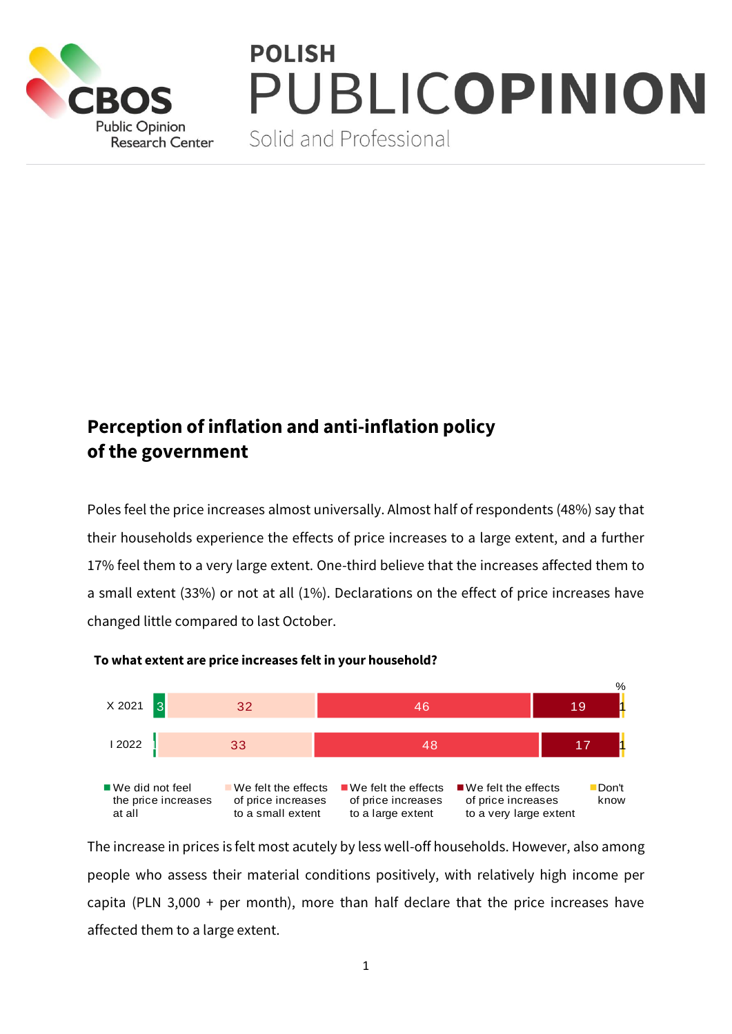

## **POLISH** PUBLICOPINION

Solid and Professional

## **Perception of inflation and anti-inflation policy of the government**

Poles feel the price increases almost universally. Almost half of respondents (48%) say that their households experience the effects of price increases to a large extent, and a further 17% feel them to a very large extent. One-third believe that the increases affected them to a small extent (33%) or not at all (1%). Declarations on the effect of price increases have changed little compared to last October.



## **To what extent are price increases felt in your household?**

The increase in prices is felt most acutely by less well-off households. However, also among people who assess their material conditions positively, with relatively high income per capita (PLN 3,000 + per month), more than half declare that the price increases have affected them to a large extent.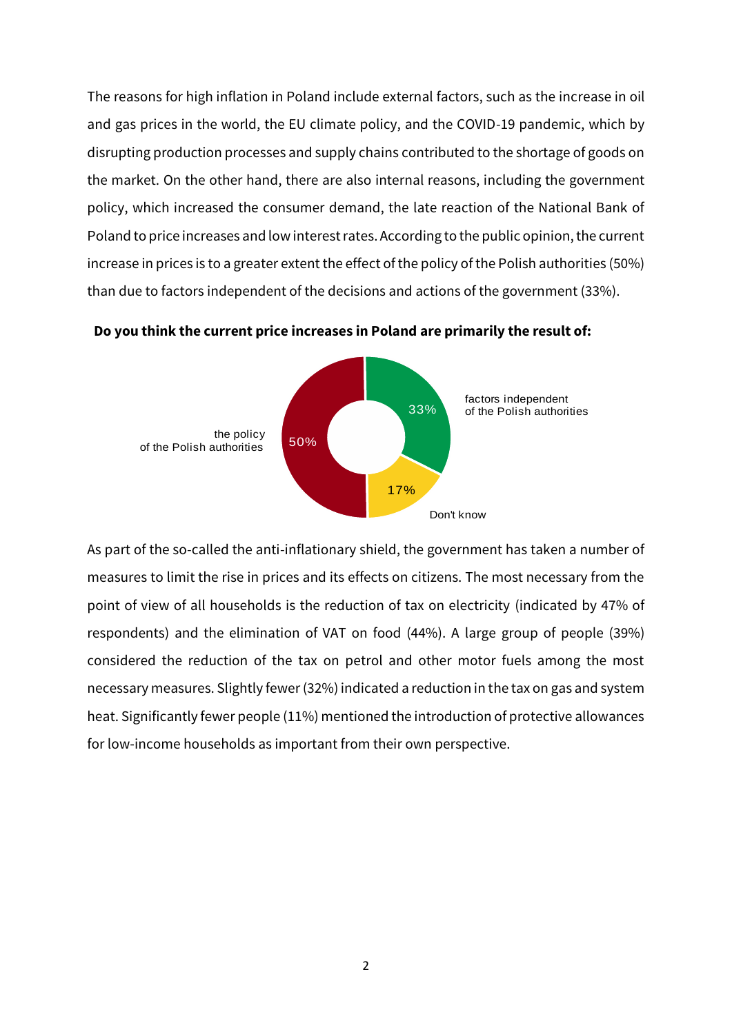The reasons for high inflation in Poland include external factors, such as the increase in oil and gas prices in the world, the EU climate policy, and the COVID-19 pandemic, which by disrupting production processes and supply chains contributed to the shortage of goods on the market. On the other hand, there are also internal reasons, including the government policy, which increased the consumer demand, the late reaction of the National Bank of Poland to price increases and low interest rates. According to the public opinion, the current increase in prices is to a greater extent the effect of the policy of the Polish authorities (50%) than due to factors independent of the decisions and actions of the government (33%).



**Do you think the current price increases in Poland are primarily the result of:**

As part of the so-called the anti-inflationary shield, the government has taken a number of measures to limit the rise in prices and its effects on citizens. The most necessary from the point of view of all households is the reduction of tax on electricity (indicated by 47% of respondents) and the elimination of VAT on food (44%). A large group of people (39%) considered the reduction of the tax on petrol and other motor fuels among the most necessary measures. Slightly fewer (32%) indicated a reduction in the tax on gas and system heat. Significantly fewer people (11%) mentioned the introduction of protective allowances for low-income households as important from their own perspective.